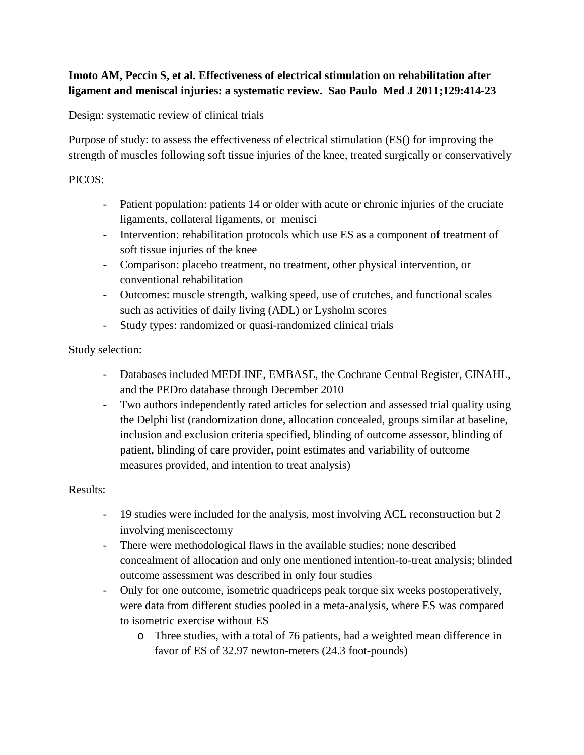## **Imoto AM, Peccin S, et al. Effectiveness of electrical stimulation on rehabilitation after ligament and meniscal injuries: a systematic review. Sao Paulo Med J 2011;129:414-23**

Design: systematic review of clinical trials

Purpose of study: to assess the effectiveness of electrical stimulation (ES() for improving the strength of muscles following soft tissue injuries of the knee, treated surgically or conservatively

## PICOS:

- Patient population: patients 14 or older with acute or chronic injuries of the cruciate ligaments, collateral ligaments, or menisci
- Intervention: rehabilitation protocols which use ES as a component of treatment of soft tissue injuries of the knee
- Comparison: placebo treatment, no treatment, other physical intervention, or conventional rehabilitation
- Outcomes: muscle strength, walking speed, use of crutches, and functional scales such as activities of daily living (ADL) or Lysholm scores
- Study types: randomized or quasi-randomized clinical trials

## Study selection:

- Databases included MEDLINE, EMBASE, the Cochrane Central Register, CINAHL, and the PEDro database through December 2010
- Two authors independently rated articles for selection and assessed trial quality using the Delphi list (randomization done, allocation concealed, groups similar at baseline, inclusion and exclusion criteria specified, blinding of outcome assessor, blinding of patient, blinding of care provider, point estimates and variability of outcome measures provided, and intention to treat analysis)

## Results:

- 19 studies were included for the analysis, most involving ACL reconstruction but 2 involving meniscectomy
- There were methodological flaws in the available studies; none described concealment of allocation and only one mentioned intention-to-treat analysis; blinded outcome assessment was described in only four studies
- Only for one outcome, isometric quadriceps peak torque six weeks postoperatively, were data from different studies pooled in a meta-analysis, where ES was compared to isometric exercise without ES
	- o Three studies, with a total of 76 patients, had a weighted mean difference in favor of ES of 32.97 newton-meters (24.3 foot-pounds)